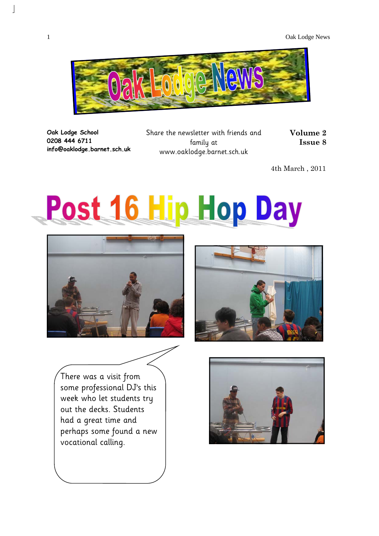

**Oak Lodge School 0208 444 6711 info@oaklodge.barnet.sch.uk** 

 $\overline{\phantom{a}}$ 

Share the newsletter with friends and family at www.oaklodge.barnet.sch.uk

**Volume 2 Issue 8** 

4th March , 2011

# Post 16 Hip Hop Day





There was a visit from some professional DJ's this week who let students try out the decks. Students had a great time and perhaps some found a new vocational calling.

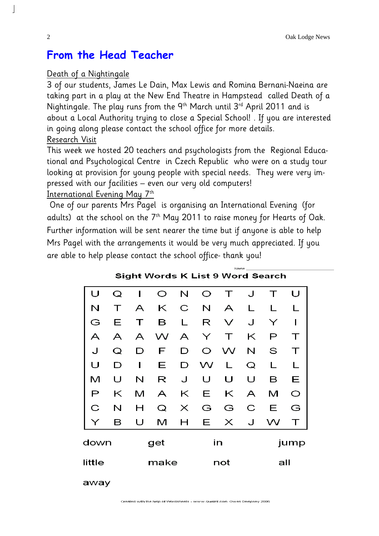### **From the Head Teacher**

#### Death of a Nightingale

3 of our students, James Le Dain, Max Lewis and Romina Bernani-Naeina are taking part in a play at the New End Theatre in Hampstead called Death of a Nightingale. The play runs from the 9<sup>th</sup> March until 3<sup>rd</sup> April 2011 and is about a Local Authority trying to close a Special School! . If you are interested in going along please contact the school office for more details.

#### Research Visit

This week we hosted 20 teachers and psychologists from the Regional Educational and Psychological Centre in Czech Republic who were on a study tour looking at provision for young people with special needs. They were very impressed with our facilities – even our very old computers!

International Evening May 7th

 One of our parents Mrs Pagel is organising an International Evening (for adults) at the school on the  $7<sup>th</sup>$  May 2011 to raise money for Hearts of Oak. Further information will be sent nearer the time but if anyone is able to help Mrs Pagel with the arrangements it would be very much appreciated. If you are able to help please contact the school office- thank you!

| U            | Q | ı            | O | N        | O  | Τ            | J | Τ    | U       |  |
|--------------|---|--------------|---|----------|----|--------------|---|------|---------|--|
| N            |   | A            | Κ | C        | N  | A            | L |      |         |  |
| G            | Е | $\mathbf{L}$ | в | L        | R  | $\checkmark$ | J | Υ    | I       |  |
| A            | A | A            | W | A        | Υ  | Т            | Κ | P    | Т       |  |
| J            | Q | D            | F | D        | O  | W            | N | S    | Т       |  |
| U            | D | ı            | Ε | D        | W  | L            | Q | L    |         |  |
| М            | U | N            | R | J        | U  | U            | U | в    | Ε       |  |
| $\mathsf{P}$ | Κ | м            | A | Κ        | Ε  | Κ            | A | м    | $\circ$ |  |
| C            | N | Н            | Q | $\times$ | G  | G            | С | Ε    | G       |  |
| Υ            | в | U            | м | Н        | E. | $\times$     | J | W    | Т       |  |
| down         |   | get          |   |          |    | in           |   | jump |         |  |
| little       |   | make         |   |          |    | not          |   | all  |         |  |

Sight Words K List 9 Word Search

away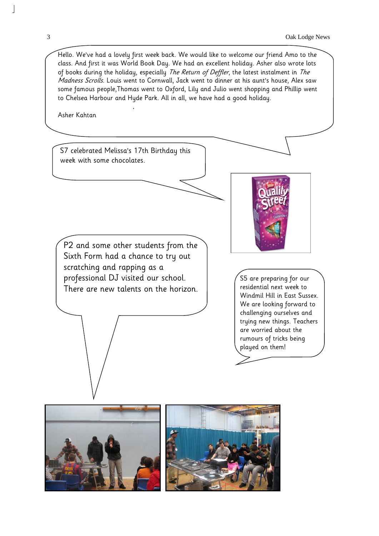Hello. We've had a lovely first week back. We would like to welcome our friend Amo to the class. And first it was World Book Day. We had an excellent holiday. Asher also wrote lots of books during the holiday, especially The Return of Deffler, the latest instalment in The Madness Scrolls. Louis went to Cornwall, Jack went to dinner at his aunt's house, Alex saw some famous people,Thomas went to Oxford, Lily and Julio went shopping and Phillip went to Chelsea Harbour and Hyde Park. All in all, we have had a good holiday.

Asher Kahtan